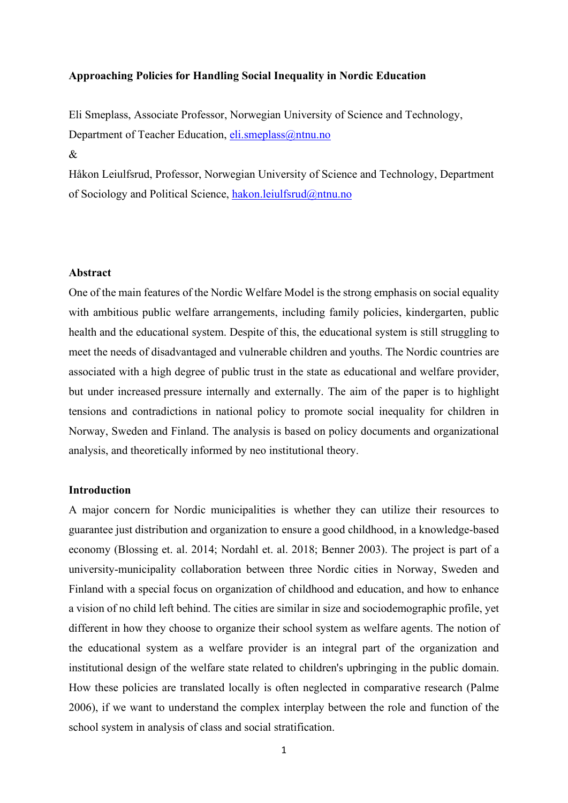## **Approaching Policies for Handling Social Inequality in Nordic Education**

Eli Smeplass, Associate Professor, Norwegian University of Science and Technology, Department of Teacher Education, [eli.smeplass@ntnu.no](mailto:eli.smeplass@ntnu.no)

Håkon Leiulfsrud, Professor, Norwegian University of Science and Technology, Department of Sociology and Political Science, [hakon.leiulfsrud@ntnu.no](mailto:hakon.leiulfsrud@ntnu.no)

#### **Abstract**

 $\mathcal{R}_{\mathcal{L}}$ 

One of the main features of the Nordic Welfare Model is the strong emphasis on social equality with ambitious public welfare arrangements, including family policies, kindergarten, public health and the educational system. Despite of this, the educational system is still struggling to meet the needs of disadvantaged and vulnerable children and youths. The Nordic countries are associated with a high degree of public trust in the state as educational and welfare provider, but under increased pressure internally and externally. The aim of the paper is to highlight tensions and contradictions in national policy to promote social inequality for children in Norway, Sweden and Finland. The analysis is based on policy documents and organizational analysis, and theoretically informed by neo institutional theory.

#### **Introduction**

A major concern for Nordic municipalities is whether they can utilize their resources to guarantee just distribution and organization to ensure a good childhood, in a knowledge-based economy (Blossing et. al. 2014; Nordahl et. al. 2018; Benner 2003). The project is part of a university-municipality collaboration between three Nordic cities in Norway, Sweden and Finland with a special focus on organization of childhood and education, and how to enhance a vision of no child left behind. The cities are similar in size and sociodemographic profile, yet different in how they choose to organize their school system as welfare agents. The notion of the educational system as a welfare provider is an integral part of the organization and institutional design of the welfare state related to children's upbringing in the public domain. How these policies are translated locally is often neglected in comparative research (Palme 2006), if we want to understand the complex interplay between the role and function of the school system in analysis of class and social stratification.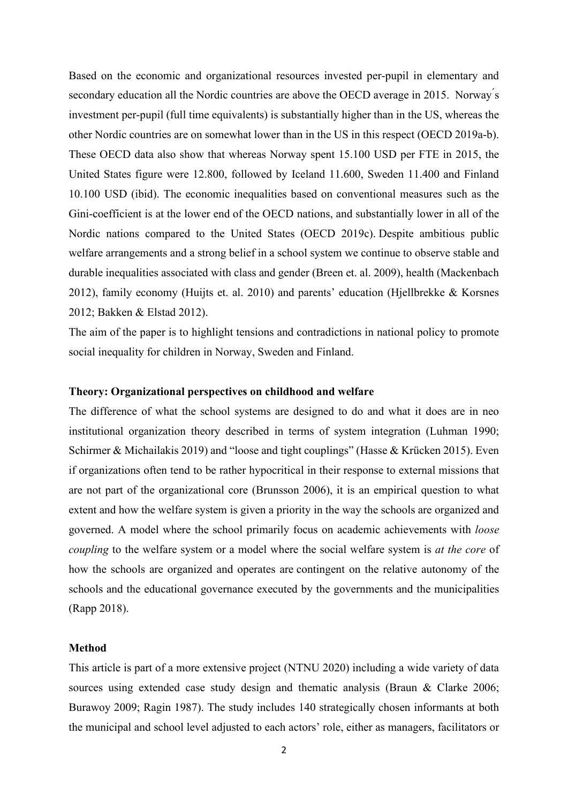Based on the economic and organizational resources invested per-pupil in elementary and secondary education all the Nordic countries are above the OECD average in 2015. Norway's investment per-pupil (full time equivalents) is substantially higher than in the US, whereas the other Nordic countries are on somewhat lower than in the US in this respect (OECD 2019a-b). These OECD data also show that whereas Norway spent 15.100 USD per FTE in 2015, the United States figure were 12.800, followed by Iceland 11.600, Sweden 11.400 and Finland 10.100 USD (ibid). The economic inequalities based on conventional measures such as the Gini-coefficient is at the lower end of the OECD nations, and substantially lower in all of the Nordic nations compared to the United States (OECD 2019c). Despite ambitious public welfare arrangements and a strong belief in a school system we continue to observe stable and durable inequalities associated with class and gender (Breen et. al. 2009), health (Mackenbach 2012), family economy (Huijts et. al. 2010) and parents' education (Hjellbrekke & Korsnes 2012; Bakken & Elstad 2012).

The aim of the paper is to highlight tensions and contradictions in national policy to promote social inequality for children in Norway, Sweden and Finland.

# **Theory: Organizational perspectives on childhood and welfare**

The difference of what the school systems are designed to do and what it does are in neo institutional organization theory described in terms of system integration (Luhman 1990; Schirmer & Michailakis 2019) and "loose and tight couplings" (Hasse & Krücken 2015). Even if organizations often tend to be rather hypocritical in their response to external missions that are not part of the organizational core (Brunsson 2006), it is an empirical question to what extent and how the welfare system is given a priority in the way the schools are organized and governed. A model where the school primarily focus on academic achievements with *loose coupling* to the welfare system or a model where the social welfare system is *at the core* of how the schools are organized and operates are contingent on the relative autonomy of the schools and the educational governance executed by the governments and the municipalities (Rapp 2018).

## **Method**

This article is part of a more extensive project (NTNU 2020) including a wide variety of data sources using extended case study design and thematic analysis (Braun & Clarke 2006; Burawoy 2009; Ragin 1987). The study includes 140 strategically chosen informants at both the municipal and school level adjusted to each actors' role, either as managers, facilitators or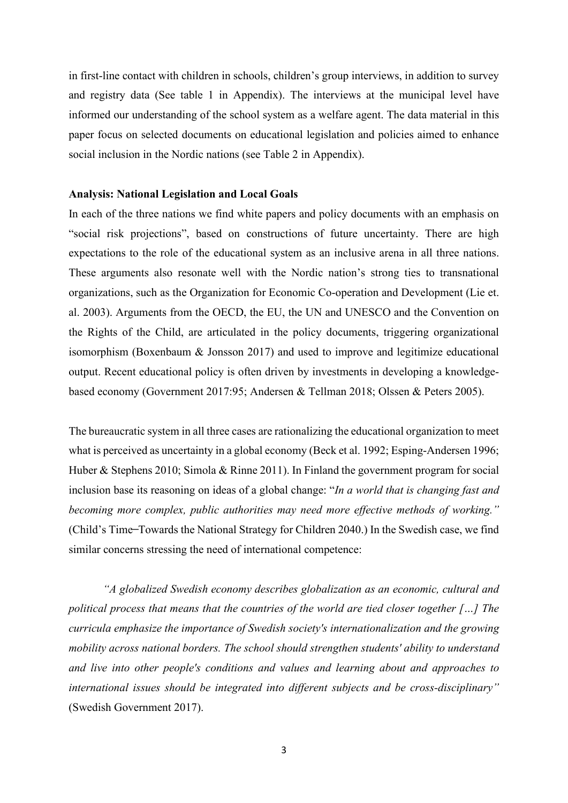in first-line contact with children in schools, children's group interviews, in addition to survey and registry data (See table 1 in Appendix). The interviews at the municipal level have informed our understanding of the school system as a welfare agent. The data material in this paper focus on selected documents on educational legislation and policies aimed to enhance social inclusion in the Nordic nations (see Table 2 in Appendix).

#### **Analysis: National Legislation and Local Goals**

In each of the three nations we find white papers and policy documents with an emphasis on "social risk projections", based on constructions of future uncertainty. There are high expectations to the role of the educational system as an inclusive arena in all three nations. These arguments also resonate well with the Nordic nation's strong ties to transnational organizations, such as the Organization for Economic Co-operation and Development (Lie et. al. 2003). Arguments from the OECD, the EU, the UN and UNESCO and the Convention on the Rights of the Child, are articulated in the policy documents, triggering organizational isomorphism (Boxenbaum & Jonsson 2017) and used to improve and legitimize educational output. Recent educational policy is often driven by investments in developing a knowledgebased economy (Government 2017:95; Andersen & Tellman 2018; Olssen & Peters 2005).

The bureaucratic system in all three cases are rationalizing the educational organization to meet what is perceived as uncertainty in a global economy (Beck et al. 1992; Esping-Andersen 1996; Huber & Stephens 2010; Simola & Rinne 2011). In Finland the government program for social inclusion base its reasoning on ideas of a global change: "*In a world that is changing fast and becoming more complex, public authorities may need more effective methods of working."* (Child's Time ̶Towards the National Strategy for Children 2040.) In the Swedish case, we find similar concerns stressing the need of international competence:

*"A globalized Swedish economy describes globalization as an economic, cultural and political process that means that the countries of the world are tied closer together […] The curricula emphasize the importance of Swedish society's internationalization and the growing mobility across national borders. The school should strengthen students' ability to understand and live into other people's conditions and values and learning about and approaches to international issues should be integrated into different subjects and be cross-disciplinary"*  (Swedish Government 2017).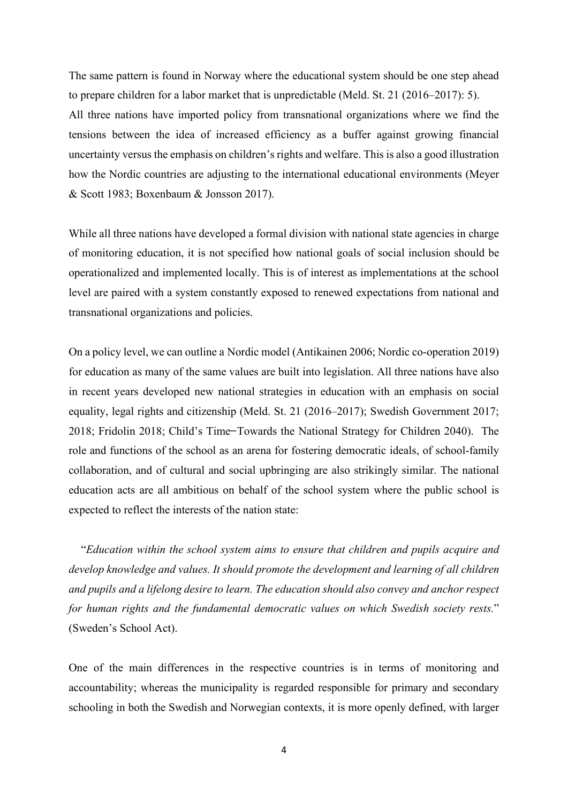The same pattern is found in Norway where the educational system should be one step ahead to prepare children for a labor market that is unpredictable (Meld. St. 21 (2016–2017): 5). All three nations have imported policy from transnational organizations where we find the tensions between the idea of increased efficiency as a buffer against growing financial uncertainty versus the emphasis on children's rights and welfare. This is also a good illustration how the Nordic countries are adjusting to the international educational environments (Meyer & Scott 1983; Boxenbaum & Jonsson 2017).

While all three nations have developed a formal division with national state agencies in charge of monitoring education, it is not specified how national goals of social inclusion should be operationalized and implemented locally. This is of interest as implementations at the school level are paired with a system constantly exposed to renewed expectations from national and transnational organizations and policies.

On a policy level, we can outline a Nordic model (Antikainen 2006; Nordic co-operation 2019) for education as many of the same values are built into legislation. All three nations have also in recent years developed new national strategies in education with an emphasis on social equality, legal rights and citizenship (Meld. St. 21 (2016–2017); Swedish Government 2017; 2018; Fridolin 2018; Child's Time ̶Towards the National Strategy for Children 2040). The role and functions of the school as an arena for fostering democratic ideals, of school-family collaboration, and of cultural and social upbringing are also strikingly similar. The national education acts are all ambitious on behalf of the school system where the public school is expected to reflect the interests of the nation state:

 "*Education within the school system aims to ensure that children and pupils acquire and develop knowledge and values. It should promote the development and learning of all children and pupils and a lifelong desire to learn. The education should also convey and anchor respect for human rights and the fundamental democratic values on which Swedish society rests.*" (Sweden's School Act).

One of the main differences in the respective countries is in terms of monitoring and accountability; whereas the municipality is regarded responsible for primary and secondary schooling in both the Swedish and Norwegian contexts, it is more openly defined, with larger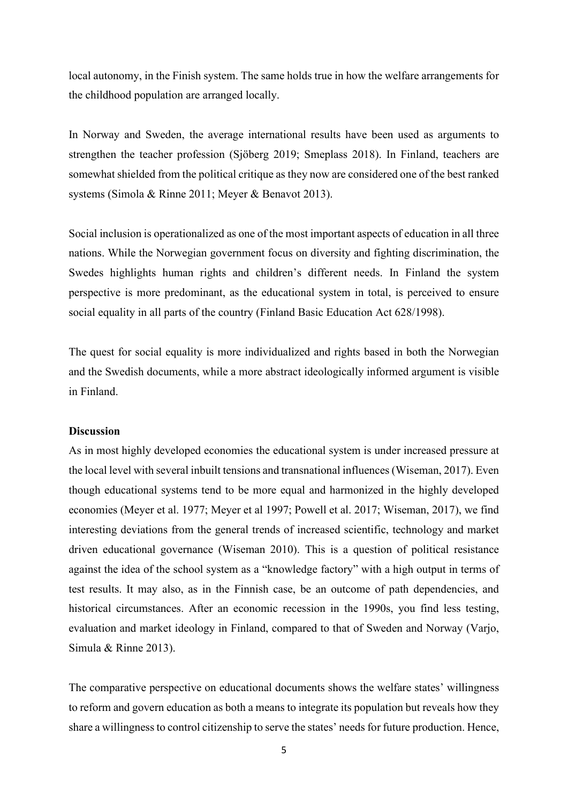local autonomy, in the Finish system. The same holds true in how the welfare arrangements for the childhood population are arranged locally.

In Norway and Sweden, the average international results have been used as arguments to strengthen the teacher profession (Sjöberg 2019; Smeplass 2018). In Finland, teachers are somewhat shielded from the political critique as they now are considered one of the best ranked systems (Simola & Rinne 2011; Meyer & Benavot 2013).

Social inclusion is operationalized as one of the most important aspects of education in all three nations. While the Norwegian government focus on diversity and fighting discrimination, the Swedes highlights human rights and children's different needs. In Finland the system perspective is more predominant, as the educational system in total, is perceived to ensure social equality in all parts of the country (Finland Basic Education Act 628/1998).

The quest for social equality is more individualized and rights based in both the Norwegian and the Swedish documents, while a more abstract ideologically informed argument is visible in Finland.

#### **Discussion**

As in most highly developed economies the educational system is under increased pressure at the local level with several inbuilt tensions and transnational influences (Wiseman, 2017). Even though educational systems tend to be more equal and harmonized in the highly developed economies (Meyer et al. 1977; Meyer et al 1997; Powell et al. 2017; Wiseman, 2017), we find interesting deviations from the general trends of increased scientific, technology and market driven educational governance (Wiseman 2010). This is a question of political resistance against the idea of the school system as a "knowledge factory" with a high output in terms of test results. It may also, as in the Finnish case, be an outcome of path dependencies, and historical circumstances. After an economic recession in the 1990s, you find less testing, evaluation and market ideology in Finland, compared to that of Sweden and Norway (Varjo, Simula & Rinne 2013).

The comparative perspective on educational documents shows the welfare states' willingness to reform and govern education as both a means to integrate its population but reveals how they share a willingness to control citizenship to serve the states' needs for future production. Hence,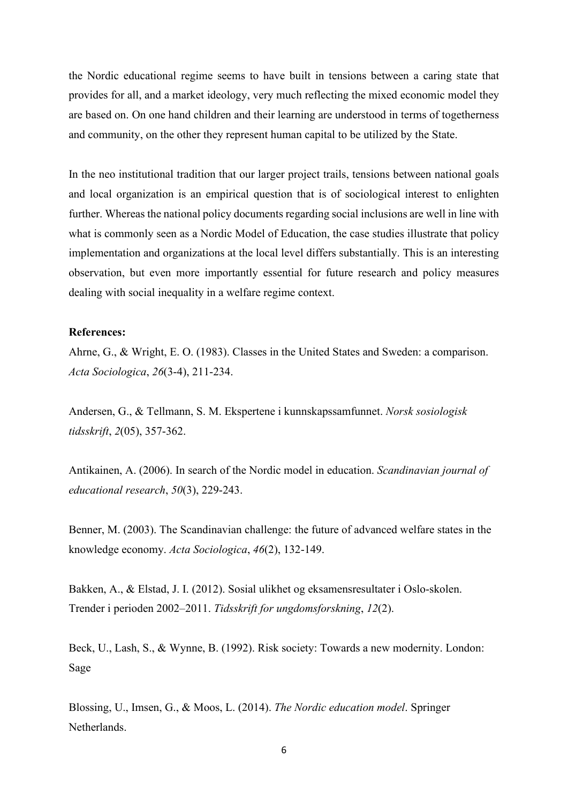the Nordic educational regime seems to have built in tensions between a caring state that provides for all, and a market ideology, very much reflecting the mixed economic model they are based on. On one hand children and their learning are understood in terms of togetherness and community, on the other they represent human capital to be utilized by the State.

In the neo institutional tradition that our larger project trails, tensions between national goals and local organization is an empirical question that is of sociological interest to enlighten further. Whereas the national policy documents regarding social inclusions are well in line with what is commonly seen as a Nordic Model of Education, the case studies illustrate that policy implementation and organizations at the local level differs substantially. This is an interesting observation, but even more importantly essential for future research and policy measures dealing with social inequality in a welfare regime context.

## **References:**

Ahrne, G., & Wright, E. O. (1983). Classes in the United States and Sweden: a comparison. *Acta Sociologica*, *26*(3-4), 211-234.

Andersen, G., & Tellmann, S. M. Ekspertene i kunnskapssamfunnet. *Norsk sosiologisk tidsskrift*, *2*(05), 357-362.

Antikainen, A. (2006). In search of the Nordic model in education. *Scandinavian journal of educational research*, *50*(3), 229-243.

Benner, M. (2003). The Scandinavian challenge: the future of advanced welfare states in the knowledge economy. *Acta Sociologica*, *46*(2), 132-149.

Bakken, A., & Elstad, J. I. (2012). Sosial ulikhet og eksamensresultater i Oslo-skolen. Trender i perioden 2002–2011. *Tidsskrift for ungdomsforskning*, *12*(2).

Beck, U., Lash, S., & Wynne, B. (1992). Risk society: Towards a new modernity. London: Sage

Blossing, U., Imsen, G., & Moos, L. (2014). *The Nordic education model*. Springer Netherlands.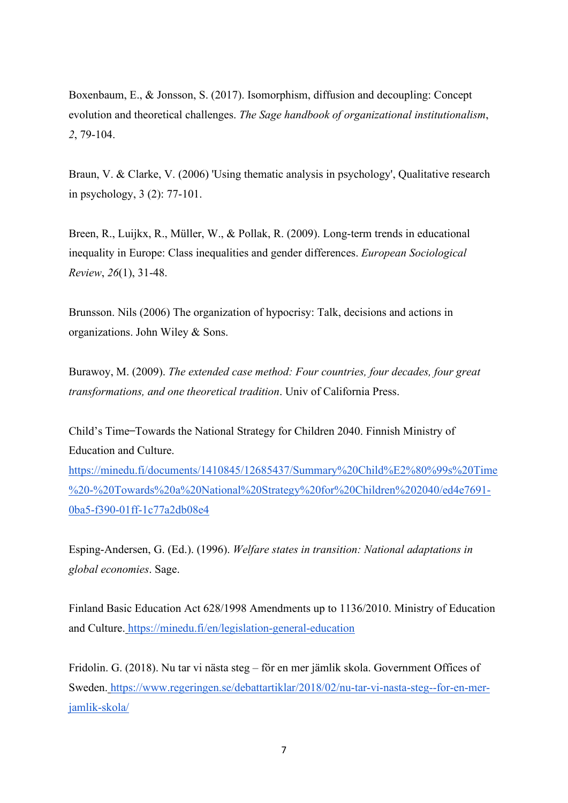Boxenbaum, E., & Jonsson, S. (2017). Isomorphism, diffusion and decoupling: Concept evolution and theoretical challenges. *The Sage handbook of organizational institutionalism*, *2*, 79-104.

Braun, V. & Clarke, V. (2006) 'Using thematic analysis in psychology', Qualitative research in psychology, 3 (2): 77-101.

Breen, R., Luijkx, R., Müller, W., & Pollak, R. (2009). Long-term trends in educational inequality in Europe: Class inequalities and gender differences. *European Sociological Review*, *26*(1), 31-48.

Brunsson. Nils (2006) The organization of hypocrisy: Talk, decisions and actions in organizations. John Wiley & Sons.

Burawoy, M. (2009). *The extended case method: Four countries, four decades, four great transformations, and one theoretical tradition*. Univ of California Press.

Child's Time ̶Towards the National Strategy for Children 2040. Finnish Ministry of Education and Culture[.](https://minedu.fi/documents/1410845/12685437/Summary%20Child%E2%80%99s%20Time%20-%20Towards%20a%20National%20Strategy%20for%20Children%202040/ed4e7691-0ba5-f390-01ff-1c77a2db08e4)

[https://minedu.fi/documents/1410845/12685437/Summary%20Child%E2%80%99s%20Time](https://minedu.fi/documents/1410845/12685437/Summary%20Child%E2%80%99s%20Time%20-%20Towards%20a%20National%20Strategy%20for%20Children%202040/ed4e7691-0ba5-f390-01ff-1c77a2db08e4) [%20-%20Towards%20a%20National%20Strategy%20for%20Children%202040/ed4e7691-](https://minedu.fi/documents/1410845/12685437/Summary%20Child%E2%80%99s%20Time%20-%20Towards%20a%20National%20Strategy%20for%20Children%202040/ed4e7691-0ba5-f390-01ff-1c77a2db08e4) [0ba5-f390-01ff-1c77a2db08e4](https://minedu.fi/documents/1410845/12685437/Summary%20Child%E2%80%99s%20Time%20-%20Towards%20a%20National%20Strategy%20for%20Children%202040/ed4e7691-0ba5-f390-01ff-1c77a2db08e4)

Esping-Andersen, G. (Ed.). (1996). *Welfare states in transition: National adaptations in global economies*. Sage.

Finland Basic Education Act 628/1998 Amendments up to 1136/2010. Ministry of Education and Culture. <https://minedu.fi/en/legislation-general-education>

Fridolin. G. (2018). Nu tar vi nästa steg – för en mer jämlik skola. Government Offices of Sweden. [https://www.regeringen.se/debattartiklar/2018/02/nu-tar-vi-nasta-steg--for-en-mer](https://www.regeringen.se/debattartiklar/2018/02/nu-tar-vi-nasta-steg--for-en-mer-jamlik-skola/)[jamlik-skola/](https://www.regeringen.se/debattartiklar/2018/02/nu-tar-vi-nasta-steg--for-en-mer-jamlik-skola/)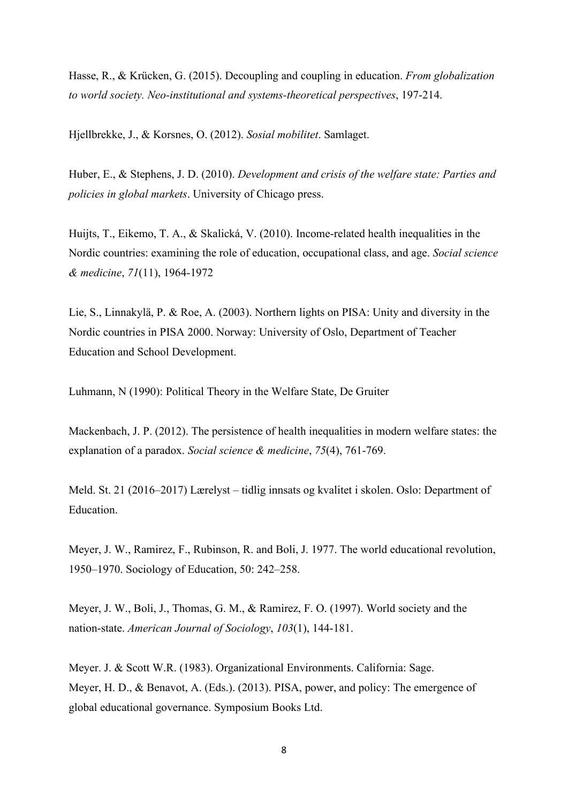Hasse, R., & Krücken, G. (2015). Decoupling and coupling in education. *From globalization to world society. Neo-institutional and systems-theoretical perspectives*, 197-214.

Hjellbrekke, J., & Korsnes, O. (2012). *Sosial mobilitet*. Samlaget.

Huber, E., & Stephens, J. D. (2010). *Development and crisis of the welfare state: Parties and policies in global markets*. University of Chicago press.

Huijts, T., Eikemo, T. A., & Skalická, V. (2010). Income-related health inequalities in the Nordic countries: examining the role of education, occupational class, and age. *Social science & medicine*, *71*(11), 1964-1972

Lie, S., Linnakylä, P. & Roe, A. (2003). Northern lights on PISA: Unity and diversity in the Nordic countries in PISA 2000. Norway: University of Oslo, Department of Teacher Education and School Development.

Luhmann, N (1990): Political Theory in the Welfare State, De Gruiter

Mackenbach, J. P. (2012). The persistence of health inequalities in modern welfare states: the explanation of a paradox. *Social science & medicine*, *75*(4), 761-769.

Meld. St. 21 (2016–2017) Lærelyst – tidlig innsats og kvalitet i skolen. Oslo: Department of Education.

Meyer, J. W., Ramirez, F., Rubinson, R. and Boli, J. 1977. The world educational revolution, 1950–1970. Sociology of Education, 50: 242–258.

Meyer, J. W., Boli, J., Thomas, G. M., & Ramirez, F. O. (1997). World society and the nation-state. *American Journal of Sociology*, *103*(1), 144-181.

Meyer. J. & Scott W.R. (1983). Organizational Environments. California: Sage. Meyer, H. D., & Benavot, A. (Eds.). (2013). PISA, power, and policy: The emergence of global educational governance. Symposium Books Ltd.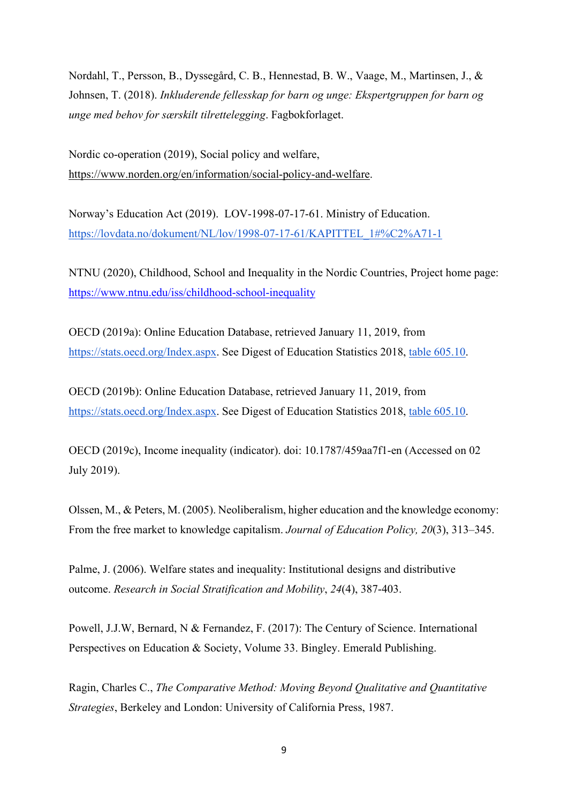Nordahl, T., Persson, B., Dyssegård, C. B., Hennestad, B. W., Vaage, M., Martinsen, J., & Johnsen, T. (2018). *Inkluderende fellesskap for barn og unge: Ekspertgruppen for barn og unge med behov for særskilt tilrettelegging*. Fagbokforlaget.

Nordic co-operation (2019), Social policy and welfare, [https://www.norden.org/en/information/social-policy-and-welfare.](https://www.norden.org/en/information/social-policy-and-welfare)

Norway's Education Act (2019). LOV-1998-07-17-61. Ministry of Education[.](https://lovdata.no/dokument/NL/lov/1998-07-17-61/KAPITTEL_1#%C2%A71-1) [https://lovdata.no/dokument/NL/lov/1998-07-17-61/KAPITTEL\\_1#%C2%A71-1](https://lovdata.no/dokument/NL/lov/1998-07-17-61/KAPITTEL_1#%C2%A71-1)

NTNU (2020), Childhood, School and Inequality in the Nordic Countries, Project home page: <https://www.ntnu.edu/iss/childhood-school-inequality>

OECD (2019a): Online Education Database, retrieved January 11, 2019, from [https://stats.oecd.org/Index.aspx.](https://nces.ed.gov/transfer.asp?sec=true&location=stats.oecd.org/Index.aspx) See Digest of Education Statistics 2018, [table 605.10.](https://nces.ed.gov/programs/coe/indicator_cmd.asp#info)

OECD (2019b): Online Education Database, retrieved January 11, 2019, from [https://stats.oecd.org/Index.aspx.](https://nces.ed.gov/transfer.asp?sec=true&location=stats.oecd.org/Index.aspx) See Digest of Education Statistics 2018, [table 605.10.](https://nces.ed.gov/programs/coe/indicator_cmd.asp#info)

OECD (2019c), Income inequality (indicator). doi: 10.1787/459aa7f1-en (Accessed on 02 July 2019).

Olssen, M., & Peters, M. (2005). Neoliberalism, higher education and the knowledge economy: From the free market to knowledge capitalism. *Journal of Education Policy, 20*(3), 313–345.

Palme, J. (2006). Welfare states and inequality: Institutional designs and distributive outcome. *Research in Social Stratification and Mobility*, *24*(4), 387-403.

Powell, J.J.W, Bernard, N & Fernandez, F. (2017): The Century of Science. International Perspectives on Education & Society, Volume 33. Bingley. Emerald Publishing.

Ragin, Charles C., *The Comparative Method: Moving Beyond Qualitative and Quantitative Strategies*, Berkeley and London: University of California Press, 1987.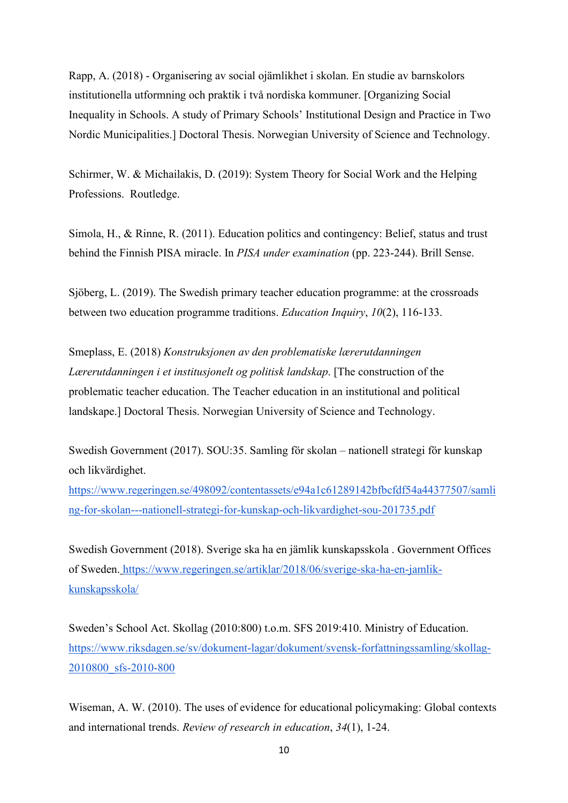Rapp, A. (2018) - Organisering av social ojämlikhet i skolan. En studie av barnskolors institutionella utformning och praktik i två nordiska kommuner. [Organizing Social Inequality in Schools. A study of Primary Schools' Institutional Design and Practice in Two Nordic Municipalities.] Doctoral Thesis. Norwegian University of Science and Technology.

Schirmer, W. & Michailakis, D. (2019): System Theory for Social Work and the Helping Professions. Routledge.

Simola, H., & Rinne, R. (2011). Education politics and contingency: Belief, status and trust behind the Finnish PISA miracle. In *PISA under examination* (pp. 223-244). Brill Sense.

Sjöberg, L. (2019). The Swedish primary teacher education programme: at the crossroads between two education programme traditions. *Education Inquiry*, *10*(2), 116-133.

Smeplass, E. (2018) *Konstruksjonen av den problematiske lærerutdanningen Lærerutdanningen i et institusjonelt og politisk landskap*. [The construction of the problematic teacher education. The Teacher education in an institutional and political landskape.] Doctoral Thesis. Norwegian University of Science and Technology.

Swedish Government (2017). SOU:35. Samling för skolan – nationell strategi för kunskap och likvärdighet[.](https://www.regeringen.se/498092/contentassets/e94a1c61289142bfbcfdf54a44377507/samling-for-skolan---nationell-strategi-for-kunskap-och-likvardighet-sou-201735.pdf)

[https://www.regeringen.se/498092/contentassets/e94a1c61289142bfbcfdf54a44377507/samli](https://www.regeringen.se/498092/contentassets/e94a1c61289142bfbcfdf54a44377507/samling-for-skolan---nationell-strategi-for-kunskap-och-likvardighet-sou-201735.pdf) [ng-for-skolan---nationell-strategi-for-kunskap-och-likvardighet-sou-201735.pdf](https://www.regeringen.se/498092/contentassets/e94a1c61289142bfbcfdf54a44377507/samling-for-skolan---nationell-strategi-for-kunskap-och-likvardighet-sou-201735.pdf)

Swedish Government (2018). Sverige ska ha en jämlik kunskapsskola . Government Offices of Sweden. [https://www.regeringen.se/artiklar/2018/06/sverige-ska-ha-en-jamlik](https://www.regeringen.se/artiklar/2018/06/sverige-ska-ha-en-jamlik-kunskapsskola/)[kunskapsskola/](https://www.regeringen.se/artiklar/2018/06/sverige-ska-ha-en-jamlik-kunskapsskola/) 

Sweden's School Act. Skollag (2010:800) t.o.m. SFS 2019:410. Ministry of Education[.](https://www.riksdagen.se/sv/dokument-lagar/dokument/svensk-forfattningssamling/skollag-2010800_sfs-2010-800) [https://www.riksdagen.se/sv/dokument-lagar/dokument/svensk-forfattningssamling/skollag-](https://www.riksdagen.se/sv/dokument-lagar/dokument/svensk-forfattningssamling/skollag-2010800_sfs-2010-800)[2010800\\_sfs-2010-800](https://www.riksdagen.se/sv/dokument-lagar/dokument/svensk-forfattningssamling/skollag-2010800_sfs-2010-800)

Wiseman, A. W. (2010). The uses of evidence for educational policymaking: Global contexts and international trends. *Review of research in education*, *34*(1), 1-24.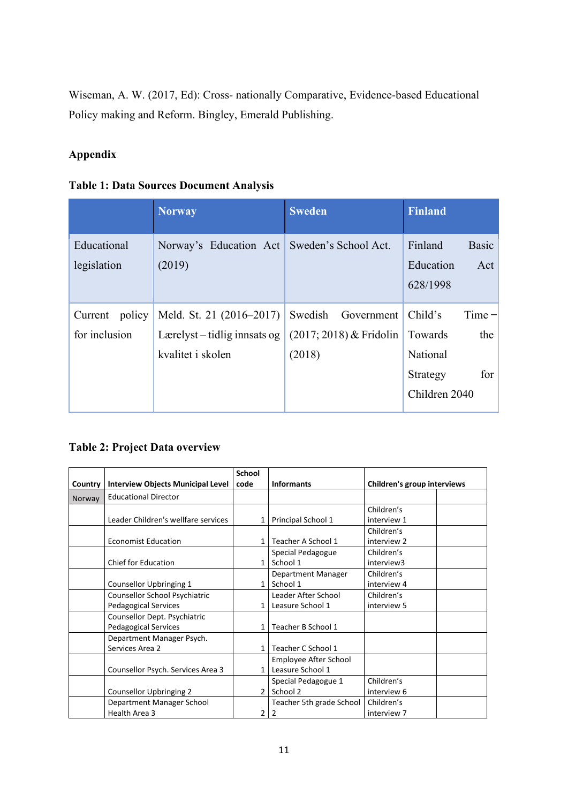Wiseman, A. W. (2017, Ed): Cross- nationally Comparative, Evidence-based Educational Policy making and Reform. Bingley, Emerald Publishing.

# **Appendix**

|  |  |  |  | <b>Table 1: Data Sources Document Analysis</b> |  |
|--|--|--|--|------------------------------------------------|--|
|--|--|--|--|------------------------------------------------|--|

|                                    | <b>Norway</b>                                                                   | <b>Sweden</b>                                                | <b>Finland</b>                                                                        |
|------------------------------------|---------------------------------------------------------------------------------|--------------------------------------------------------------|---------------------------------------------------------------------------------------|
| Educational<br>legislation         | Norway's Education Act<br>(2019)                                                | Sweden's School Act.                                         | Finland<br><b>Basic</b><br>Education<br>Act<br>628/1998                               |
| policy<br>Current<br>for inclusion | Meld. St. 21 (2016–2017)<br>Lærelyst $-$ tidlig inneats og<br>kvalitet i skolen | Swedish<br>Government<br>$(2017; 2018)$ & Fridolin<br>(2018) | $Time -$<br>Child's<br>the<br>Towards<br>National<br>for<br>Strategy<br>Children 2040 |

# **Table 2: Project Data overview**

|         |                                          | School        |                          |                             |  |
|---------|------------------------------------------|---------------|--------------------------|-----------------------------|--|
| Country | <b>Interview Objects Municipal Level</b> | code          | <b>Informants</b>        | Children's group interviews |  |
| Norway  | <b>Educational Director</b>              |               |                          |                             |  |
|         |                                          |               |                          | Children's                  |  |
|         | Leader Children's wellfare services      | 1             | Principal School 1       | interview 1                 |  |
|         |                                          |               |                          | Children's                  |  |
|         | <b>Economist Education</b>               |               | Teacher A School 1       | interview 2                 |  |
|         |                                          |               | Special Pedagogue        | Children's                  |  |
|         | <b>Chief for Education</b>               | 1             | School 1                 | interview3                  |  |
|         |                                          |               | Department Manager       | Children's                  |  |
|         | Counsellor Upbringing 1                  | 1             | School 1                 | interview 4                 |  |
|         | <b>Counsellor School Psychiatric</b>     |               | Leader After School      | Children's                  |  |
|         | <b>Pedagogical Services</b>              |               | Leasure School 1         | interview 5                 |  |
|         | Counsellor Dept. Psychiatric             |               |                          |                             |  |
|         | <b>Pedagogical Services</b>              | 1             | Teacher B School 1       |                             |  |
|         | Department Manager Psych.                |               |                          |                             |  |
|         | Services Area 2                          | 1             | Teacher C School 1       |                             |  |
|         |                                          |               | Employee After School    |                             |  |
|         | Counsellor Psych. Services Area 3        |               | Leasure School 1         |                             |  |
|         |                                          |               | Special Pedagogue 1      | Children's                  |  |
|         | Counsellor Upbringing 2                  | $\mathfrak z$ | School 2                 | interview 6                 |  |
|         | Department Manager School                |               | Teacher 5th grade School | Children's                  |  |
|         | Health Area 3                            | 2             | 2                        | interview 7                 |  |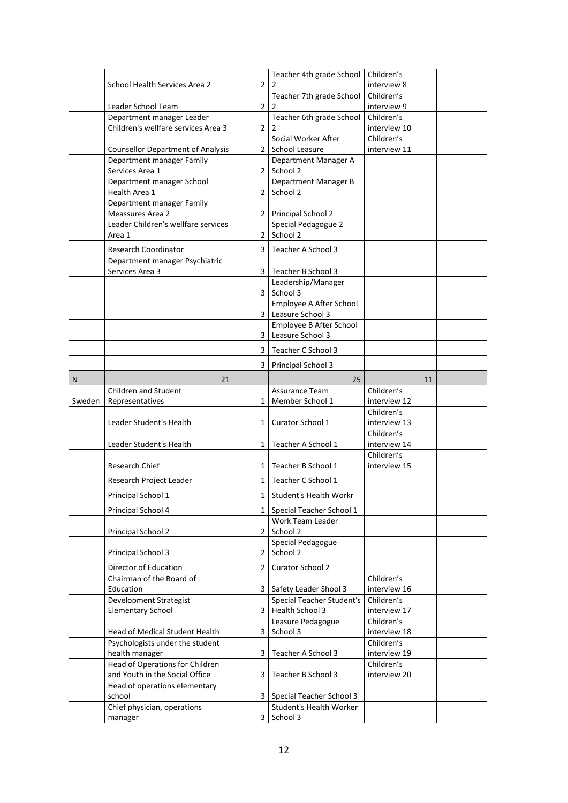|        |                                                   |                | Teacher 4th grade School                           | Children's                 |  |
|--------|---------------------------------------------------|----------------|----------------------------------------------------|----------------------------|--|
|        | School Health Services Area 2                     | $\overline{2}$ | 2                                                  | interview 8                |  |
|        |                                                   |                | Teacher 7th grade School                           | Children's                 |  |
|        | Leader School Team                                | $\overline{2}$ |                                                    | interview 9                |  |
|        | Department manager Leader                         |                | Teacher 6th grade School                           | Children's                 |  |
|        | Children's wellfare services Area 3               | $\overline{2}$ |                                                    | interview 10               |  |
|        |                                                   |                | Social Worker After                                | Children's                 |  |
|        | <b>Counsellor Department of Analysis</b>          | 2              | School Leasure                                     | interview 11               |  |
|        | Department manager Family                         |                | Department Manager A                               |                            |  |
|        | Services Area 1                                   | 2              | School 2                                           |                            |  |
|        | Department manager School<br>Health Area 1        | $\overline{2}$ | Department Manager B<br>School 2                   |                            |  |
|        | Department manager Family                         |                |                                                    |                            |  |
|        | Meassures Area 2                                  | 2              | <b>Principal School 2</b>                          |                            |  |
|        | Leader Children's wellfare services               |                | Special Pedagogue 2                                |                            |  |
|        | Area 1                                            | 2              | School 2                                           |                            |  |
|        |                                                   |                |                                                    |                            |  |
|        | Research Coordinator                              | 3              | Teacher A School 3                                 |                            |  |
|        | Department manager Psychiatric<br>Services Area 3 | 3              | Teacher B School 3                                 |                            |  |
|        |                                                   |                | Leadership/Manager                                 |                            |  |
|        |                                                   | 3              | School 3                                           |                            |  |
|        |                                                   |                | Employee A After School                            |                            |  |
|        |                                                   | 3              | Leasure School 3                                   |                            |  |
|        |                                                   |                | Employee B After School                            |                            |  |
|        |                                                   | 3              | Leasure School 3                                   |                            |  |
|        |                                                   | 3              | Teacher C School 3                                 |                            |  |
|        |                                                   |                |                                                    |                            |  |
|        |                                                   | 3              | <b>Principal School 3</b>                          |                            |  |
| N      | 21                                                |                | 25                                                 | 11                         |  |
|        | Children and Student                              |                | Assurance Team                                     | Children's                 |  |
|        |                                                   |                |                                                    |                            |  |
| Sweden | Representatives                                   | 1              | Member School 1                                    | interview 12               |  |
|        |                                                   |                |                                                    | Children's                 |  |
|        | Leader Student's Health                           | 1              | Curator School 1                                   | interview 13               |  |
|        |                                                   |                |                                                    | Children's                 |  |
|        | Leader Student's Health                           | 1              | Teacher A School 1                                 | interview 14               |  |
|        |                                                   |                |                                                    | Children's                 |  |
|        | Research Chief                                    | 1              | Teacher B School 1                                 | interview 15               |  |
|        | Research Project Leader                           | 1              | Teacher C School 1                                 |                            |  |
|        | Principal School 1                                | 1              | Student's Health Workr                             |                            |  |
|        |                                                   |                |                                                    |                            |  |
|        | Principal School 4                                |                | 1   Special Teacher School 1<br>Work Team Leader   |                            |  |
|        | Principal School 2                                | $\overline{2}$ | School 2                                           |                            |  |
|        |                                                   |                | Special Pedagogue                                  |                            |  |
|        | Principal School 3                                | $\overline{2}$ | School 2                                           |                            |  |
|        |                                                   |                |                                                    |                            |  |
|        | Director of Education<br>Chairman of the Board of | $\overline{2}$ | Curator School 2                                   |                            |  |
|        | Education                                         | 3              |                                                    | Children's<br>interview 16 |  |
|        | Development Strategist                            |                | Safety Leader Shool 3<br>Special Teacher Student's | Children's                 |  |
|        | <b>Elementary School</b>                          | 3              | Health School 3                                    | interview 17               |  |
|        |                                                   |                | Leasure Pedagogue                                  | Children's                 |  |
|        | Head of Medical Student Health                    | 3              | School 3                                           | interview 18               |  |
|        | Psychologists under the student                   |                |                                                    | Children's                 |  |
|        | health manager                                    | 3              | Teacher A School 3                                 | interview 19               |  |
|        | Head of Operations for Children                   |                |                                                    | Children's                 |  |
|        | and Youth in the Social Office                    | 3              | Teacher B School 3                                 | interview 20               |  |
|        | Head of operations elementary                     |                |                                                    |                            |  |
|        | school                                            | 3              | Special Teacher School 3                           |                            |  |
|        | Chief physician, operations<br>manager            | 3              | Student's Health Worker<br>School 3                |                            |  |